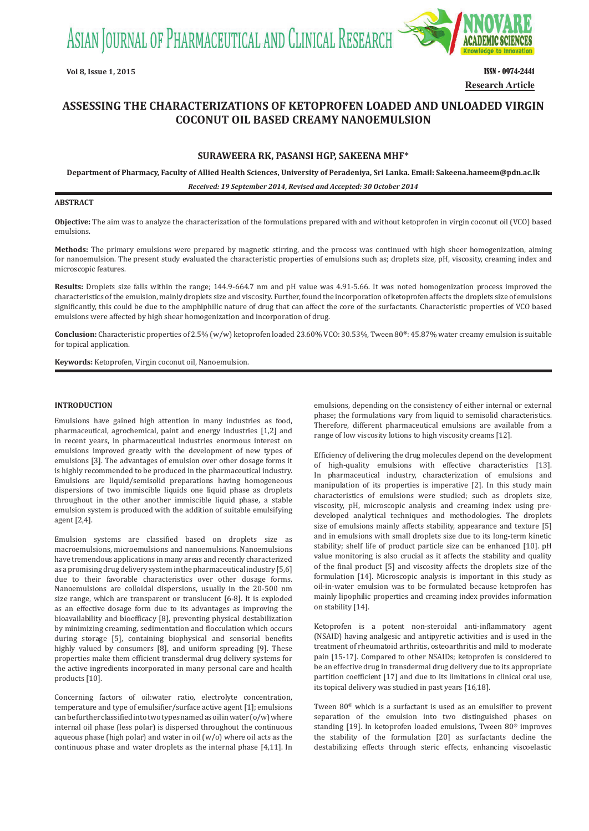ASIAN JOURNAL OF PHARMACEUTICAL AND CLINICAL RESEARCH



# **Vol 8, Issue 1, 2015** ISSN - 0974-2441 **Research Article**

# **ASSESSING THE CHARACTERIZATIONS OF KETOPROFEN LOADED AND UNLOADED VIRGIN COCONUT OIL BASED CREAMY NANOEMULSION**

# **SURAWEERA RK, PASANSI HGP, SAKEENA MHF\***

**Department of Pharmacy, Faculty of Allied Health Sciences, University of Peradeniya, Sri Lanka. Email: Sakeena.hameem@pdn.ac.lk**

*Received: 19 September 2014, Revised and Accepted: 30 October 2014*

# **ABSTRACT**

**Objective:** The aim was to analyze the characterization of the formulations prepared with and without ketoprofen in virgin coconut oil (VCO) based emulsions.

**Methods:** The primary emulsions were prepared by magnetic stirring, and the process was continued with high sheer homogenization, aiming for nanoemulsion. The present study evaluated the characteristic properties of emulsions such as; droplets size, pH, viscosity, creaming index and microscopic features.

**Results:** Droplets size falls within the range; 144.9-664.7 nm and pH value was 4.91-5.66. It was noted homogenization process improved the characteristics of the emulsion, mainly droplets size and viscosity. Further, found the incorporation of ketoprofen affects the droplets size of emulsions significantly, this could be due to the amphiphilic nature of drug that can affect the core of the surfactants. Characteristic properties of VCO based emulsions were affected by high shear homogenization and incorporation of drug.

**Conclusion:** Characteristic properties of 2.5% (w/w) ketoprofen loaded 23.60% VCO: 30.53%, Tween 80**®**: 45.87% water creamy emulsion is suitable for topical application.

**Keywords:** Ketoprofen, Virgin coconut oil, Nanoemulsion.

# **INTRODUCTION**

Emulsions have gained high attention in many industries as food, pharmaceutical, agrochemical, paint and energy industries [1,2] and in recent years, in pharmaceutical industries enormous interest on emulsions improved greatly with the development of new types of emulsions [3]. The advantages of emulsion over other dosage forms it is highly recommended to be produced in the pharmaceutical industry. Emulsions are liquid/semisolid preparations having homogeneous dispersions of two immiscible liquids one liquid phase as droplets throughout in the other another immiscible liquid phase, a stable emulsion system is produced with the addition of suitable emulsifying agent [2,4].

Emulsion systems are classified based on droplets size as macroemulsions, microemulsions and nanoemulsions. Nanoemulsions have tremendous applications in many areas and recently characterized as a promising drug delivery system in the pharmaceutical industry [5,6] due to their favorable characteristics over other dosage forms. Nanoemulsions are colloidal dispersions, usually in the 20-500 nm size range, which are transparent or translucent [6-8]. It is exploded as an effective dosage form due to its advantages as improving the bioavailability and bioefficacy [8], preventing physical destabilization by minimizing creaming, sedimentation and flocculation which occurs during storage [5], containing biophysical and sensorial benefits highly valued by consumers [8], and uniform spreading [9]. These properties make them efficient transdermal drug delivery systems for the active ingredients incorporated in many personal care and health products [10].

Concerning factors of oil:water ratio, electrolyte concentration, temperature and type of emulsifier/surface active agent [1]; emulsions can be further classified into two types named as oil in water (o/w) where internal oil phase (less polar) is dispersed throughout the continuous aqueous phase (high polar) and water in oil (w/o) where oil acts as the continuous phase and water droplets as the internal phase [4,11]. In

emulsions, depending on the consistency of either internal or external phase; the formulations vary from liquid to semisolid characteristics. Therefore, different pharmaceutical emulsions are available from a range of low viscosity lotions to high viscosity creams [12].

Efficiency of delivering the drug molecules depend on the development of high-quality emulsions with effective characteristics [13]. In pharmaceutical industry, characterization of emulsions and manipulation of its properties is imperative [2]. In this study main characteristics of emulsions were studied; such as droplets size, viscosity, pH, microscopic analysis and creaming index using predeveloped analytical techniques and methodologies. The droplets size of emulsions mainly affects stability, appearance and texture [5] and in emulsions with small droplets size due to its long-term kinetic stability; shelf life of product particle size can be enhanced [10]. pH value monitoring is also crucial as it affects the stability and quality of the final product [5] and viscosity affects the droplets size of the formulation [14]. Microscopic analysis is important in this study as oil-in-water emulsion was to be formulated because ketoprofen has mainly lipophilic properties and creaming index provides information on stability [14].

Ketoprofen is a potent non-steroidal anti-inflammatory agent (NSAID) having analgesic and antipyretic activities and is used in the treatment of rheumatoid arthritis, osteoarthritis and mild to moderate pain [15-17]. Compared to other NSAIDs; ketoprofen is considered to be an effective drug in transdermal drug delivery due to its appropriate partition coefficient [17] and due to its limitations in clinical oral use, its topical delivery was studied in past years [16,18].

Tween 80® which is a surfactant is used as an emulsifier to prevent separation of the emulsion into two distinguished phases on standing [19]. In ketoprofen loaded emulsions, Tween 80® improves the stability of the formulation [20] as surfactants decline the destabilizing effects through steric effects, enhancing viscoelastic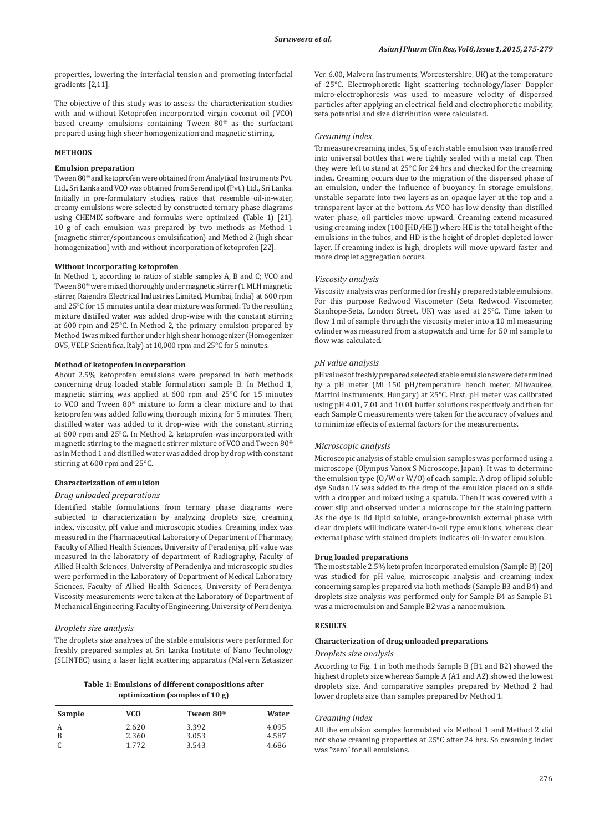properties, lowering the interfacial tension and promoting interfacial gradients [2,11].

The objective of this study was to assess the characterization studies with and without Ketoprofen incorporated virgin coconut oil (VCO) based creamy emulsions containing Tween 80® as the surfactant prepared using high sheer homogenization and magnetic stirring.

## **METHODS**

# **Emulsion preparation**

Tween 80® and ketoprofen were obtained from Analytical Instruments Pvt. Ltd., Sri Lanka and VCO was obtained from Serendipol (Pvt.) Ltd., Sri Lanka. Initially in pre-formulatory studies, ratios that resemble oil-in-water, creamy emulsions were selected by constructed ternary phase diagrams using CHEMIX software and formulas were optimized (Table 1) [21]. 10 g of each emulsion was prepared by two methods as Method 1 (magnetic stirrer/spontaneous emulsification) and Method 2 (high shear homogenization) with and without incorporation of ketoprofen [22].

## **Without incorporating ketoprofen**

In Method 1, according to ratios of stable samples A, B and C; VCO and Tween 80® were mixed thoroughly under magnetic stirrer (1 MLH magnetic stirrer, Rajendra Electrical Industries Limited, Mumbai, India) at 600 rpm and 25°C for 15 minutes until a clear mixture was formed. To the resulting mixture distilled water was added drop-wise with the constant stirring at 600 rpm and 25°C. In Method 2, the primary emulsion prepared by Method 1was mixed further under high shear homogenizer (Homogenizer OV5, VELP Scientifica, Italy) at 10,000 rpm and 25°C for 5 minutes.

#### **Method of ketoprofen incorporation**

About 2.5% ketoprofen emulsions were prepared in both methods concerning drug loaded stable formulation sample B. In Method 1, magnetic stirring was applied at 600 rpm and 25°C for 15 minutes to VCO and Tween 80® mixture to form a clear mixture and to that ketoprofen was added following thorough mixing for 5 minutes. Then, distilled water was added to it drop-wise with the constant stirring at 600 rpm and 25°C. In Method 2, ketoprofen was incorporated with magnetic stirring to the magnetic stirrer mixture of VCO and Tween 80® as in Method 1 and distilled water was added drop by drop with constant stirring at 600 rpm and 25°C.

# **Characterization of emulsion**

### *Drug unloaded preparations*

Identified stable formulations from ternary phase diagrams were subjected to characterization by analyzing droplets size, creaming index, viscosity, pH value and microscopic studies. Creaming index was measured in the Pharmaceutical Laboratory of Department of Pharmacy, Faculty of Allied Health Sciences, University of Peradeniya, pH value was measured in the laboratory of department of Radiography, Faculty of Allied Health Sciences, University of Peradeniya and microscopic studies were performed in the Laboratory of Department of Medical Laboratory Sciences, Faculty of Allied Health Sciences, University of Peradeniya. Viscosity measurements were taken at the Laboratory of Department of Mechanical Engineering, Faculty of Engineering, University of Peradeniya.

#### *Droplets size analysis*

The droplets size analyses of the stable emulsions were performed for freshly prepared samples at Sri Lanka Institute of Nano Technology (SLINTEC) using a laser light scattering apparatus (Malvern Zetasizer

**Table 1: Emulsions of different compositions after optimization (samples of 10 g)**

| Sample | VCO   | Tween 80 <sup>®</sup> | Water |
|--------|-------|-----------------------|-------|
| A      | 2.620 | 3.392                 | 4.095 |
| B      | 2.360 | 3.053                 | 4.587 |
|        | 1.772 | 3.543                 | 4.686 |

Ver. 6.00, Malvern Instruments, Worcestershire, UK) at the temperature of 25°C. Electrophoretic light scattering technology/laser Doppler micro-electrophoresis was used to measure velocity of dispersed particles after applying an electrical field and electrophoretic mobility, zeta potential and size distribution were calculated.

#### *Creaming index*

To measure creaming index, 5 g of each stable emulsion was transferred into universal bottles that were tightly sealed with a metal cap. Then they were left to stand at 25°C for 24 hrs and checked for the creaming index. Creaming occurs due to the migration of the dispersed phase of an emulsion, under the influence of buoyancy. In storage emulsions, unstable separate into two layers as an opaque layer at the top and a transparent layer at the bottom. As VCO has low density than distilled water phase, oil particles move upward. Creaming extend measured using creaming index (100 [HD/HE]) where HE is the total height of the emulsions in the tubes, and HD is the height of droplet-depleted lower layer. If creaming index is high, droplets will move upward faster and more droplet aggregation occurs.

### *Viscosity analysis*

Viscosity analysis was performed for freshly prepared stable emulsions. For this purpose Redwood Viscometer (Seta Redwood Viscometer, Stanhope-Seta, London Street, UK) was used at 25°C. Time taken to flow 1 ml of sample through the viscosity meter into a 10 ml measuring cylinder was measured from a stopwatch and time for 50 ml sample to flow was calculated.

# *pH value analysis*

pH values of freshly prepared selected stable emulsions were determined by a pH meter (Mi 150 pH/temperature bench meter, Milwaukee, Martini Instruments, Hungary) at 25°C. First, pH meter was calibrated using pH 4.01, 7.01 and 10.01 buffer solutions respectively and then for each Sample C measurements were taken for the accuracy of values and to minimize effects of external factors for the measurements.

## *Microscopic analysis*

Microscopic analysis of stable emulsion samples was performed using a microscope (Olympus Vanox S Microscope, Japan). It was to determine the emulsion type (O/W or W/O) of each sample. A drop of lipid soluble dye Sudan IV was added to the drop of the emulsion placed on a slide with a dropper and mixed using a spatula. Then it was covered with a cover slip and observed under a microscope for the staining pattern. As the dye is lid lipid soluble, orange-brownish external phase with clear droplets will indicate water-in-oil type emulsions, whereas clear external phase with stained droplets indicates oil-in-water emulsion.

## **Drug loaded preparations**

The most stable 2.5% ketoprofen incorporated emulsion (Sample B)[20] was studied for pH value, microscopic analysis and creaming index concerning samples prepared via both methods (Sample B3 and B4) and droplets size analysis was performed only for Sample B4 as Sample B1 was a microemulsion and Sample B2 was a nanoemulsion.

### **RESULTS**

## **Characterization of drug unloaded preparations**

# *Droplets size analysis*

According to Fig. 1 in both methods Sample B (B1 and B2) showed the highest droplets size whereas Sample A (A1 and A2) showed the lowest droplets size. And comparative samples prepared by Method 2 had lower droplets size than samples prepared by Method 1.

# *Creaming index*

All the emulsion samples formulated via Method 1 and Method 2 did not show creaming properties at 25°C after 24 hrs. So creaming index was "zero" for all emulsions.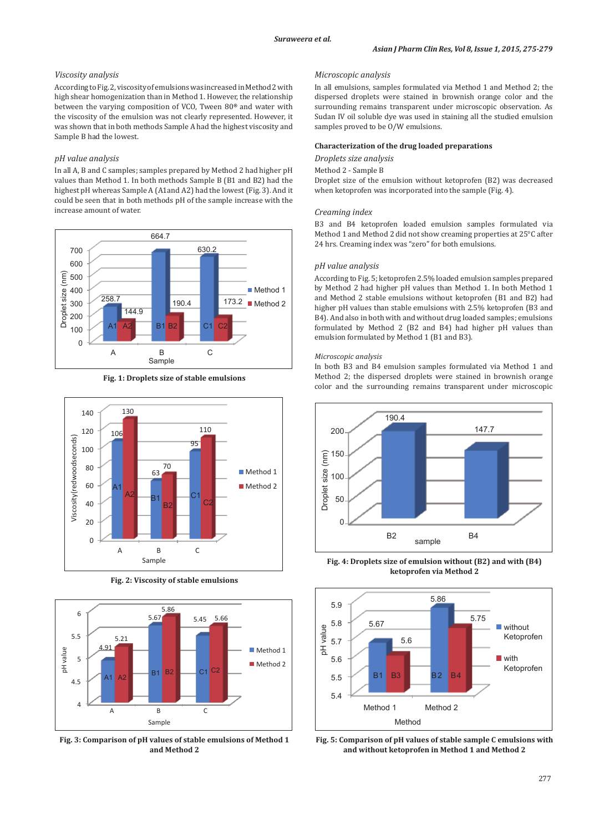# *Viscosity analysis*

According to Fig.2, viscosity of emulsions was increased in Method 2 with high shear homogenization than in Method 1. However, the relationship between the varying composition of VCO, Tween 80**®** and water with the viscosity of the emulsion was not clearly represented. However, it was shown that in both methods Sample A had the highest viscosity and Sample B had the lowest.

# *pH value analysis*

In all A, B and C samples; samples prepared by Method 2 had higher pH values than Method 1. In both methods Sample B (B1 and B2) had the highest pH whereas Sample A (A1and A2) had the lowest (Fig. 3). And it could be seen that in both methods pH of the sample increase with the increase amount of water.



**Fig. 1: Droplets size of stable emulsions**



**Fig. 2: Viscosity of stable emulsions**



**Fig. 3: Comparison of pH values of stable emulsions of Method 1 and Method 2**

# *Microscopic analysis*

In all emulsions, samples formulated via Method 1 and Method 2; the dispersed droplets were stained in brownish orange color and the surrounding remains transparent under microscopic observation. As Sudan IV oil soluble dye was used in staining all the studied emulsion samples proved to be O/W emulsions.

#### **Characterization of the drug loaded preparations**

*Droplets size analysis*

## Method 2 - Sample B

Droplet size of the emulsion without ketoprofen (B2) was decreased when ketoprofen was incorporated into the sample (Fig. 4).

#### *Creaming index*

B3 and B4 ketoprofen loaded emulsion samples formulated via Method 1 and Method 2 did not show creaming properties at 25°C after 24 hrs. Creaming index was "zero" for both emulsions.

#### *pH value analysis*

According to Fig. 5; ketoprofen 2.5% loaded emulsion samples prepared by Method 2 had higher pH values than Method 1. In both Method 1 and Method 2 stable emulsions without ketoprofen (B1 and B2) had higher pH values than stable emulsions with 2.5% ketoprofen (B3 and B4). And also in both with and without drug loaded samples; emulsions formulated by Method 2 (B2 and B4) had higher pH values than emulsion formulated by Method 1 (B1 and B3).

#### *Microscopic analysis*

In both B3 and B4 emulsion samples formulated via Method 1 and Method 2; the dispersed droplets were stained in brownish orange color and the surrounding remains transparent under microscopic



**Fig. 4: Droplets size of emulsion without (B2) and with (B4) ketoprofen via Method 2**



**Fig. 5: Comparison of pH values of stable sample C emulsions with and without ketoprofen in Method 1 and Method 2**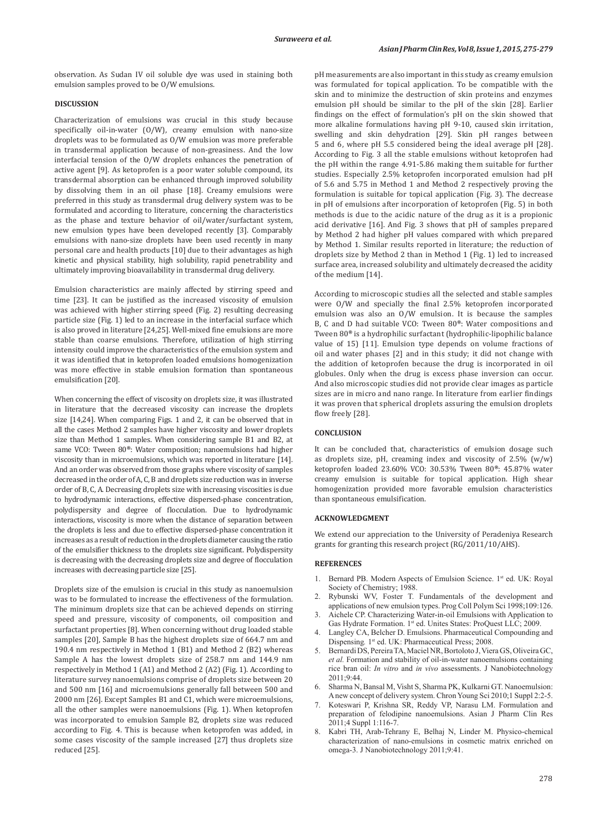observation. As Sudan IV oil soluble dye was used in staining both emulsion samples proved to be O/W emulsions.

# **DISCUSSION**

Characterization of emulsions was crucial in this study because specifically oil-in-water (O/W), creamy emulsion with nano-size droplets was to be formulated as O/W emulsion was more preferable in transdermal application because of non-greasiness. And the low interfacial tension of the O/W droplets enhances the penetration of active agent [9]. As ketoprofen is a poor water soluble compound, its transdermal absorption can be enhanced through improved solubility by dissolving them in an oil phase [18]. Creamy emulsions were preferred in this study as transdermal drug delivery system was to be formulated and according to literature, concerning the characteristics as the phase and texture behavior of oil/water/surfactant system, new emulsion types have been developed recently [3]. Comparably emulsions with nano-size droplets have been used recently in many personal care and health products [10] due to their advantages as high kinetic and physical stability, high solubility, rapid penetrability and ultimately improving bioavailability in transdermal drug delivery.

Emulsion characteristics are mainly affected by stirring speed and time [23]. It can be justified as the increased viscosity of emulsion was achieved with higher stirring speed (Fig. 2) resulting decreasing particle size (Fig. 1) led to an increase in the interfacial surface which is also proved in literature [24,25]. Well-mixed fine emulsions are more stable than coarse emulsions. Therefore, utilization of high stirring intensity could improve the characteristics of the emulsion system and it was identified that in ketoprofen loaded emulsions homogenization was more effective in stable emulsion formation than spontaneous emulsification [20].

When concerning the effect of viscosity on droplets size, it was illustrated in literature that the decreased viscosity can increase the droplets size [14,24]. When comparing Figs. 1 and 2, it can be observed that in all the cases Method 2 samples have higher viscosity and lower droplets size than Method 1 samples. When considering sample B1 and B2, at same VCO: Tween 80**®**: Water composition; nanoemulsions had higher viscosity than in microemulsions, which was reported in literature [14]. And an order was observed from those graphs where viscosity of samples decreased in the order of A, C, B and droplets size reduction was in inverse order of B, C, A. Decreasing droplets size with increasing viscosities is due to hydrodynamic interactions, effective dispersed-phase concentration, polydispersity and degree of flocculation. Due to hydrodynamic interactions, viscosity is more when the distance of separation between the droplets is less and due to effective dispersed-phase concentration it increases as a result of reduction in the droplets diameter causing the ratio of the emulsifier thickness to the droplets size significant. Polydispersity is decreasing with the decreasing droplets size and degree of flocculation increases with decreasing particle size [25].

Droplets size of the emulsion is crucial in this study as nanoemulsion was to be formulated to increase the effectiveness of the formulation. The minimum droplets size that can be achieved depends on stirring speed and pressure, viscosity of components, oil composition and surfactant properties [8]. When concerning without drug loaded stable samples [20], Sample B has the highest droplets size of 664.7 nm and 190.4 nm respectively in Method 1 (B1) and Method 2 (B2) whereas Sample A has the lowest droplets size of 258.7 nm and 144.9 nm respectively in Method 1 (A1) and Method 2 (A2) (Fig. 1). According to literature survey nanoemulsions comprise of droplets size between 20 and 500 nm [16] and microemulsions generally fall between 500 and 2000 nm [26]. Except Samples B1 and C1, which were microemulsions, all the other samples were nanoemulsions (Fig. 1). When ketoprofen was incorporated to emulsion Sample B2, droplets size was reduced according to Fig. 4. This is because when ketoprofen was added, in some cases viscosity of the sample increased [27] thus droplets size reduced [25].

pH measurements are also important in this study as creamy emulsion was formulated for topical application. To be compatible with the skin and to minimize the destruction of skin proteins and enzymes emulsion pH should be similar to the pH of the skin [28]. Earlier findings on the effect of formulation's pH on the skin showed that more alkaline formulations having pH 9-10, caused skin irritation, swelling and skin dehydration [29]. Skin pH ranges between 5 and 6, where pH 5.5 considered being the ideal average pH [28]. According to Fig. 3 all the stable emulsions without ketoprofen had the pH within the range 4.91-5.86 making them suitable for further studies. Especially 2.5% ketoprofen incorporated emulsion had pH of 5.6 and 5.75 in Method 1 and Method 2 respectively proving the formulation is suitable for topical application (Fig. 3). The decrease in pH of emulsions after incorporation of ketoprofen (Fig. 5) in both methods is due to the acidic nature of the drug as it is a propionic acid derivative [16]. And Fig. 3 shows that pH of samples prepared by Method 2 had higher pH values compared with which prepared by Method 1. Similar results reported in literature; the reduction of droplets size by Method 2 than in Method 1 (Fig. 1) led to increased surface area, increased solubility and ultimately decreased the acidity of the medium [14].

According to microscopic studies all the selected and stable samples were O/W and specially the final 2.5% ketoprofen incorporated emulsion was also an O/W emulsion. It is because the samples B, C and D had suitable VCO: Tween 80**®**: Water compositions and Tween 80**®** is a hydrophilic surfactant (hydrophilic-lipophilic balance value of 15) [11]. Emulsion type depends on volume fractions of oil and water phases [2] and in this study; it did not change with the addition of ketoprofen because the drug is incorporated in oil globules. Only when the drug is excess phase inversion can occur. And also microscopic studies did not provide clear images as particle sizes are in micro and nano range. In literature from earlier findings it was proven that spherical droplets assuring the emulsion droplets flow freely [28].

#### **CONCLUSION**

It can be concluded that, characteristics of emulsion dosage such as droplets size, pH, creaming index and viscosity of  $2.5\%$  (w/w) ketoprofen loaded 23.60% VCO: 30.53% Tween 80**®**: 45.87% water creamy emulsion is suitable for topical application. High shear homogenization provided more favorable emulsion characteristics than spontaneous emulsification.

## **ACKNOWLEDGMENT**

We extend our appreciation to the University of Peradeniya Research grants for granting this research project (RG/2011/10/AHS).

#### **REFERENCES**

- 1. Bernard PB. Modern Aspects of Emulsion Science. 1st ed. UK: Royal Society of Chemistry; 1988.
- 2. Rybunski WV, Foster T. Fundamentals of the development and applications of new emulsion types. Prog Coll Polym Sci 1998;109:126.
- 3. Aichele CP. Characterizing Water-in-oil Emulsions with Application to Gas Hydrate Formation. 1st ed. Unites States: ProQuest LLC; 2009.
- 4. Langley CA, Belcher D. Emulsions. Pharmaceutical Compounding and Dispensing<sub>.</sub> 1<sup>st</sup> ed. UK: Pharmaceutical Press; 2008.
- 5. Bernardi DS, Pereira TA, Maciel NR, Bortoloto J, Viera GS, Oliveira GC, *et al.* Formation and stability of oil-in-water nanoemulsions containing rice bran oil: *In vitro* and *in vivo* assessments. J Nanobiotechnology 2011;9:44.
- 6. Sharma N, Bansal M, Visht S, Sharma PK, Kulkarni GT. Nanoemulsion: Anew concept of delivery system. Chron Young Sci 2010;1 Suppl 2:2-5.
- 7. Koteswari P, Krishna SR, Reddy VP, Narasu LM. Formulation and preparation of felodipine nanoemulsions. Asian J Pharm Clin Res 2011;4 Suppl 1:116-7.
- 8. Kabri TH, Arab-Tehrany E, Belhaj N, Linder M. Physico-chemical characterization of nano-emulsions in cosmetic matrix enriched on omega-3. J Nanobiotechnology 2011;9:41.